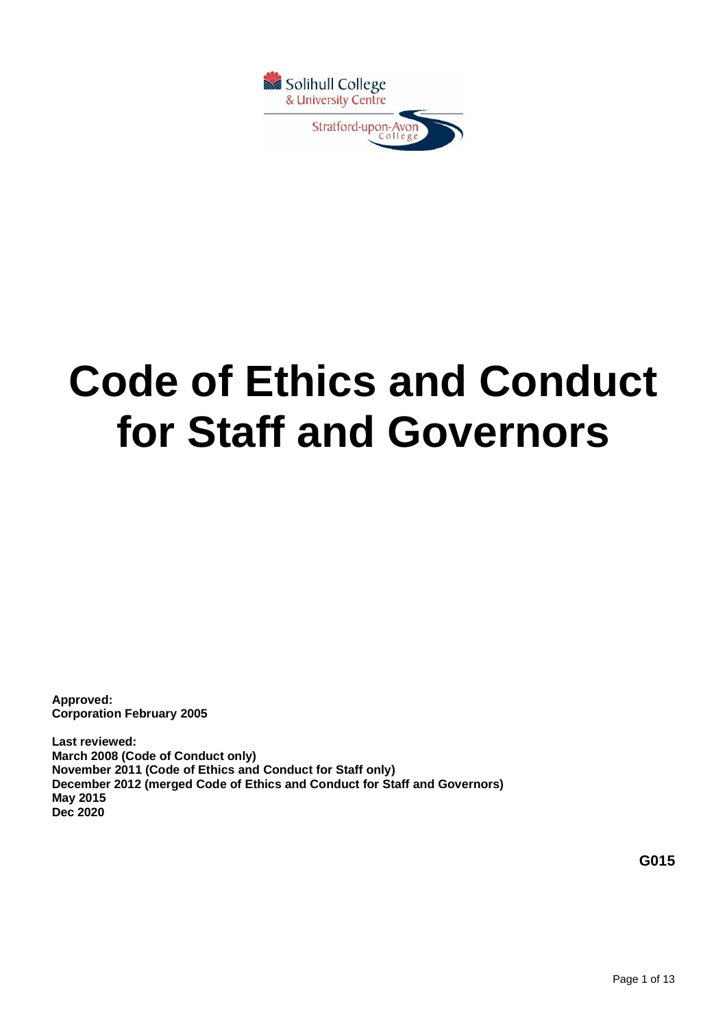

# **Code of Ethics and Conduct for Staff and Governors**

**Approved: Corporation February 2005**

**Last reviewed: March 2008 (Code of Conduct only) November 2011 (Code of Ethics and Conduct for Staff only) December 2012 (merged Code of Ethics and Conduct for Staff and Governors) May 2015 Dec 2020**

**G015**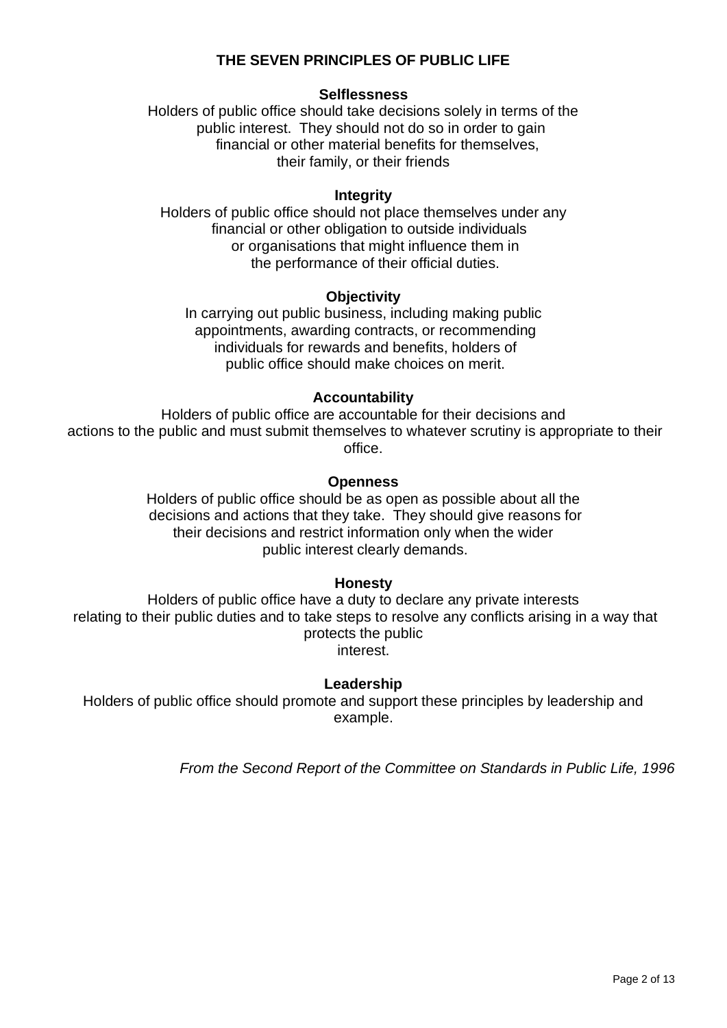## **THE SEVEN PRINCIPLES OF PUBLIC LIFE**

#### **Selflessness**

Holders of public office should take decisions solely in terms of the public interest. They should not do so in order to gain financial or other material benefits for themselves, their family, or their friends

#### **Integrity**

Holders of public office should not place themselves under any financial or other obligation to outside individuals or organisations that might influence them in the performance of their official duties.

#### **Objectivity**

In carrying out public business, including making public appointments, awarding contracts, or recommending individuals for rewards and benefits, holders of public office should make choices on merit.

## **Accountability**

Holders of public office are accountable for their decisions and actions to the public and must submit themselves to whatever scrutiny is appropriate to their office.

#### **Openness**

Holders of public office should be as open as possible about all the decisions and actions that they take. They should give reasons for their decisions and restrict information only when the wider public interest clearly demands.

## **Honesty**

Holders of public office have a duty to declare any private interests relating to their public duties and to take steps to resolve any conflicts arising in a way that protects the public interest.

## **Leadership**

Holders of public office should promote and support these principles by leadership and example.

*From the Second Report of the Committee on Standards in Public Life, 1996*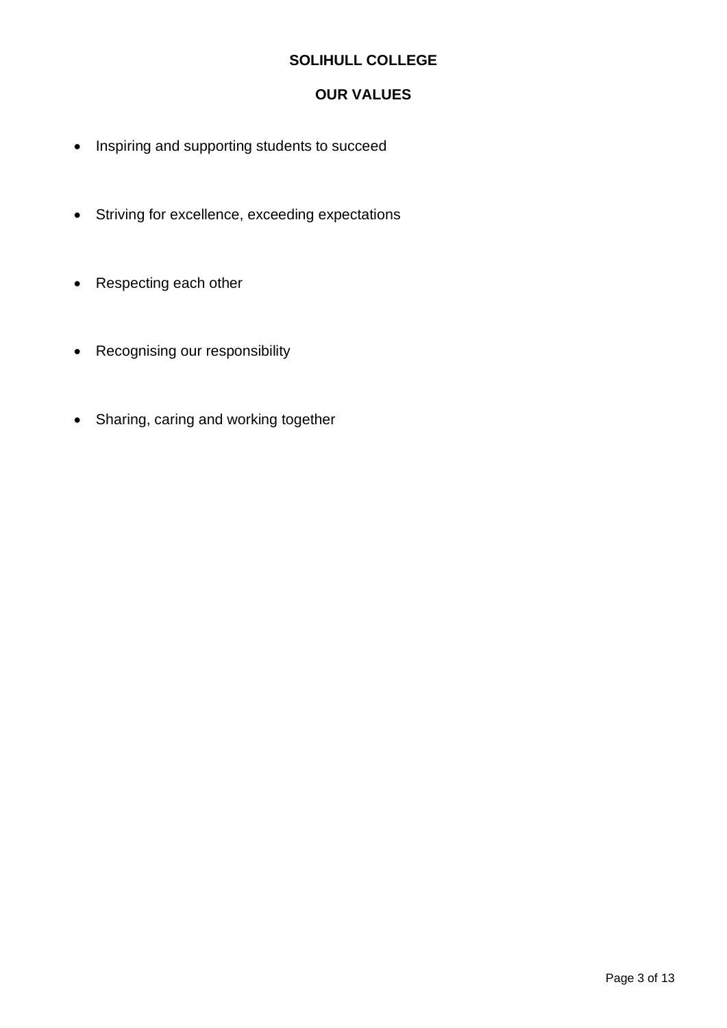## **SOLIHULL COLLEGE**

## **OUR VALUES**

- Inspiring and supporting students to succeed
- Striving for excellence, exceeding expectations
- Respecting each other
- Recognising our responsibility
- Sharing, caring and working together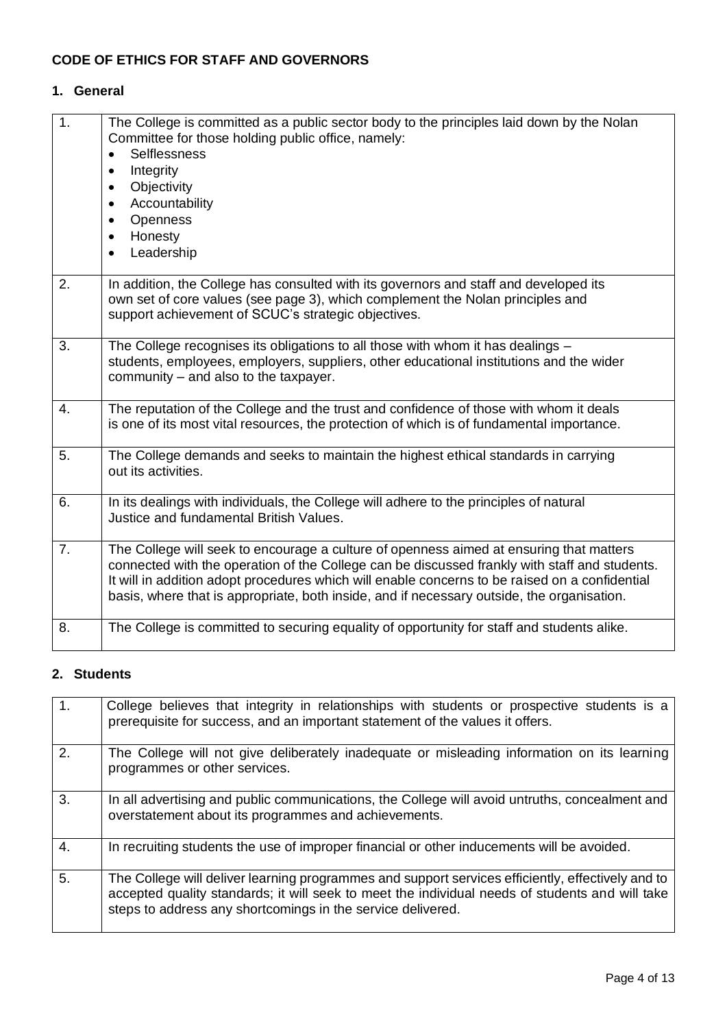## **CODE OF ETHICS FOR STAFF AND GOVERNORS**

## **1. General**

| $\overline{1}$ . | The College is committed as a public sector body to the principles laid down by the Nolan<br>Committee for those holding public office, namely:<br><b>Selflessness</b><br>Integrity<br>٠<br>Objectivity<br>$\bullet$<br>Accountability<br>$\bullet$<br>Openness<br>Honesty<br>$\bullet$<br>Leadership                                                                                    |
|------------------|------------------------------------------------------------------------------------------------------------------------------------------------------------------------------------------------------------------------------------------------------------------------------------------------------------------------------------------------------------------------------------------|
| 2.               | In addition, the College has consulted with its governors and staff and developed its<br>own set of core values (see page 3), which complement the Nolan principles and<br>support achievement of SCUC's strategic objectives.                                                                                                                                                           |
| 3.               | The College recognises its obligations to all those with whom it has dealings -<br>students, employees, employers, suppliers, other educational institutions and the wider<br>community – and also to the taxpayer.                                                                                                                                                                      |
| 4.               | The reputation of the College and the trust and confidence of those with whom it deals<br>is one of its most vital resources, the protection of which is of fundamental importance.                                                                                                                                                                                                      |
| 5.               | The College demands and seeks to maintain the highest ethical standards in carrying<br>out its activities.                                                                                                                                                                                                                                                                               |
| 6.               | In its dealings with individuals, the College will adhere to the principles of natural<br>Justice and fundamental British Values.                                                                                                                                                                                                                                                        |
| 7.               | The College will seek to encourage a culture of openness aimed at ensuring that matters<br>connected with the operation of the College can be discussed frankly with staff and students.<br>It will in addition adopt procedures which will enable concerns to be raised on a confidential<br>basis, where that is appropriate, both inside, and if necessary outside, the organisation. |
| 8.               | The College is committed to securing equality of opportunity for staff and students alike.                                                                                                                                                                                                                                                                                               |

#### **2. Students**

| 1.               | College believes that integrity in relationships with students or prospective students is a<br>prerequisite for success, and an important statement of the values it offers.                                                                                        |
|------------------|---------------------------------------------------------------------------------------------------------------------------------------------------------------------------------------------------------------------------------------------------------------------|
| 2.               | The College will not give deliberately inadequate or misleading information on its learning<br>programmes or other services.                                                                                                                                        |
| 3.               | In all advertising and public communications, the College will avoid untruths, concealment and<br>overstatement about its programmes and achievements.                                                                                                              |
| $\overline{4}$ . | In recruiting students the use of improper financial or other inducements will be avoided.                                                                                                                                                                          |
| 5.               | The College will deliver learning programmes and support services efficiently, effectively and to<br>accepted quality standards; it will seek to meet the individual needs of students and will take<br>steps to address any shortcomings in the service delivered. |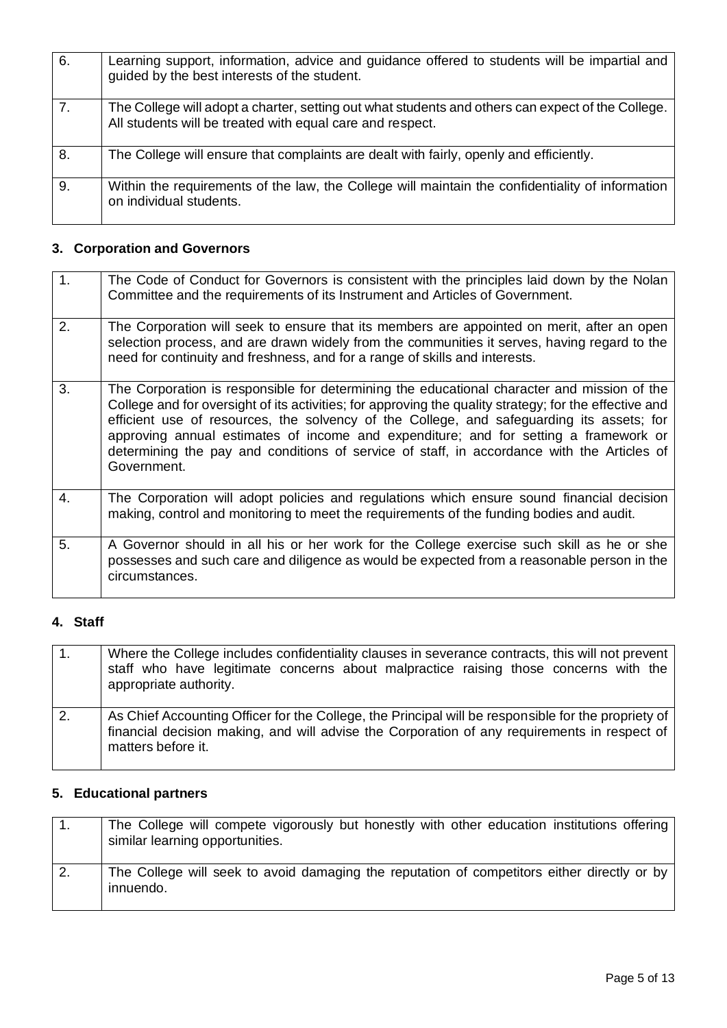| 6. | Learning support, information, advice and guidance offered to students will be impartial and<br>guided by the best interests of the student.                   |
|----|----------------------------------------------------------------------------------------------------------------------------------------------------------------|
| 7. | The College will adopt a charter, setting out what students and others can expect of the College.<br>All students will be treated with equal care and respect. |
| 8. | The College will ensure that complaints are dealt with fairly, openly and efficiently.                                                                         |
| 9. | Within the requirements of the law, the College will maintain the confidentiality of information<br>on individual students.                                    |

# **3. Corporation and Governors**

| 1. | The Code of Conduct for Governors is consistent with the principles laid down by the Nolan<br>Committee and the requirements of its Instrument and Articles of Government.                                                                                                                                                                                                                                                                                                                              |
|----|---------------------------------------------------------------------------------------------------------------------------------------------------------------------------------------------------------------------------------------------------------------------------------------------------------------------------------------------------------------------------------------------------------------------------------------------------------------------------------------------------------|
| 2. | The Corporation will seek to ensure that its members are appointed on merit, after an open<br>selection process, and are drawn widely from the communities it serves, having regard to the<br>need for continuity and freshness, and for a range of skills and interests.                                                                                                                                                                                                                               |
| 3. | The Corporation is responsible for determining the educational character and mission of the<br>College and for oversight of its activities; for approving the quality strategy; for the effective and<br>efficient use of resources, the solvency of the College, and safeguarding its assets; for<br>approving annual estimates of income and expenditure; and for setting a framework or<br>determining the pay and conditions of service of staff, in accordance with the Articles of<br>Government. |
| 4. | The Corporation will adopt policies and regulations which ensure sound financial decision<br>making, control and monitoring to meet the requirements of the funding bodies and audit.                                                                                                                                                                                                                                                                                                                   |
| 5. | A Governor should in all his or her work for the College exercise such skill as he or she<br>possesses and such care and diligence as would be expected from a reasonable person in the<br>circumstances.                                                                                                                                                                                                                                                                                               |

## **4. Staff**

| 1. | Where the College includes confidentiality clauses in severance contracts, this will not prevent<br>staff who have legitimate concerns about malpractice raising those concerns with the<br>appropriate authority.        |
|----|---------------------------------------------------------------------------------------------------------------------------------------------------------------------------------------------------------------------------|
| 2. | As Chief Accounting Officer for the College, the Principal will be responsible for the propriety of<br>financial decision making, and will advise the Corporation of any requirements in respect of<br>matters before it. |

## **5. Educational partners**

|    | The College will compete vigorously but honestly with other education institutions offering<br>similar learning opportunities. |
|----|--------------------------------------------------------------------------------------------------------------------------------|
| 2. | The College will seek to avoid damaging the reputation of competitors either directly or by<br>innuendo.                       |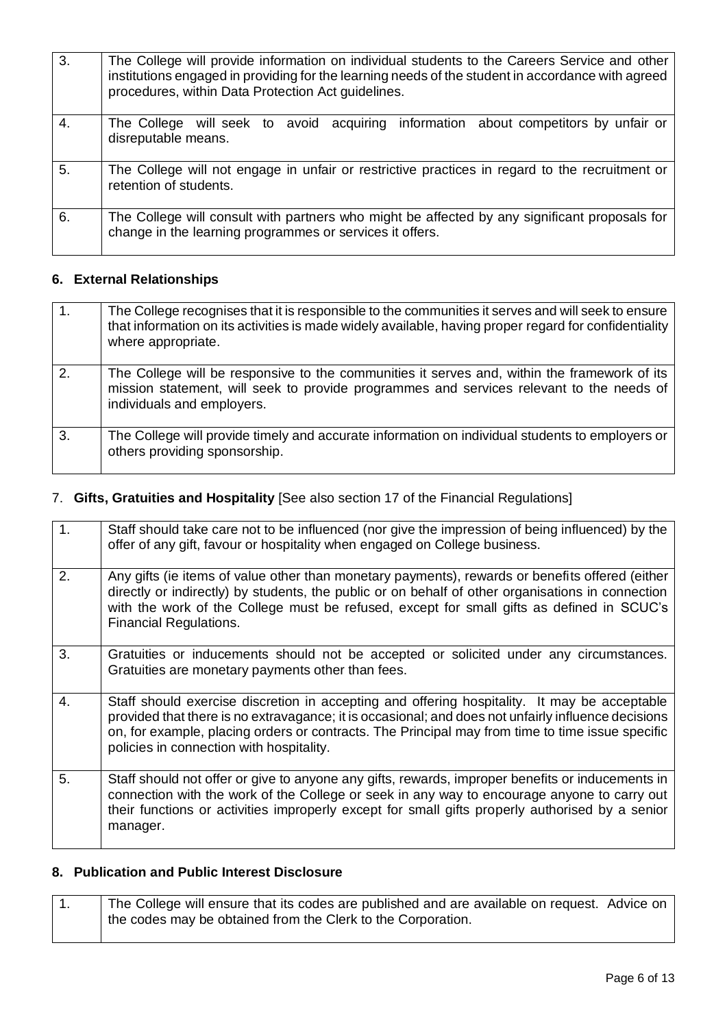| 3. | The College will provide information on individual students to the Careers Service and other<br>institutions engaged in providing for the learning needs of the student in accordance with agreed<br>procedures, within Data Protection Act guidelines. |
|----|---------------------------------------------------------------------------------------------------------------------------------------------------------------------------------------------------------------------------------------------------------|
| 4. | The College will seek to avoid acquiring information about competitors by unfair or<br>disreputable means.                                                                                                                                              |
| 5. | The College will not engage in unfair or restrictive practices in regard to the recruitment or<br>retention of students.                                                                                                                                |
| 6. | The College will consult with partners who might be affected by any significant proposals for<br>change in the learning programmes or services it offers.                                                                                               |

## **6. External Relationships**

| 1. | The College recognises that it is responsible to the communities it serves and will seek to ensure<br>that information on its activities is made widely available, having proper regard for confidentiality<br>where appropriate. |
|----|-----------------------------------------------------------------------------------------------------------------------------------------------------------------------------------------------------------------------------------|
| 2. | The College will be responsive to the communities it serves and, within the framework of its<br>mission statement, will seek to provide programmes and services relevant to the needs of<br>individuals and employers.            |
| 3. | The College will provide timely and accurate information on individual students to employers or<br>others providing sponsorship.                                                                                                  |

## 7. **Gifts, Gratuities and Hospitality** [See also section 17 of the Financial Regulations]

| 1.           | Staff should take care not to be influenced (nor give the impression of being influenced) by the<br>offer of any gift, favour or hospitality when engaged on College business.                                                                                                                                                                      |
|--------------|-----------------------------------------------------------------------------------------------------------------------------------------------------------------------------------------------------------------------------------------------------------------------------------------------------------------------------------------------------|
| 2.           | Any gifts (ie items of value other than monetary payments), rewards or benefits offered (either<br>directly or indirectly) by students, the public or on behalf of other organisations in connection<br>with the work of the College must be refused, except for small gifts as defined in SCUC's<br><b>Financial Regulations.</b>                  |
| 3.           | Gratuities or inducements should not be accepted or solicited under any circumstances.<br>Gratuities are monetary payments other than fees.                                                                                                                                                                                                         |
| $\mathbf{4}$ | Staff should exercise discretion in accepting and offering hospitality. It may be acceptable<br>provided that there is no extravagance; it is occasional; and does not unfairly influence decisions<br>on, for example, placing orders or contracts. The Principal may from time to time issue specific<br>policies in connection with hospitality. |
| 5.           | Staff should not offer or give to anyone any gifts, rewards, improper benefits or inducements in<br>connection with the work of the College or seek in any way to encourage anyone to carry out<br>their functions or activities improperly except for small gifts properly authorised by a senior<br>manager.                                      |

## **8. Publication and Public Interest Disclosure**

| The College will ensure that its codes are published and are available on request. Advice on |  |
|----------------------------------------------------------------------------------------------|--|
| the codes may be obtained from the Clerk to the Corporation.                                 |  |
|                                                                                              |  |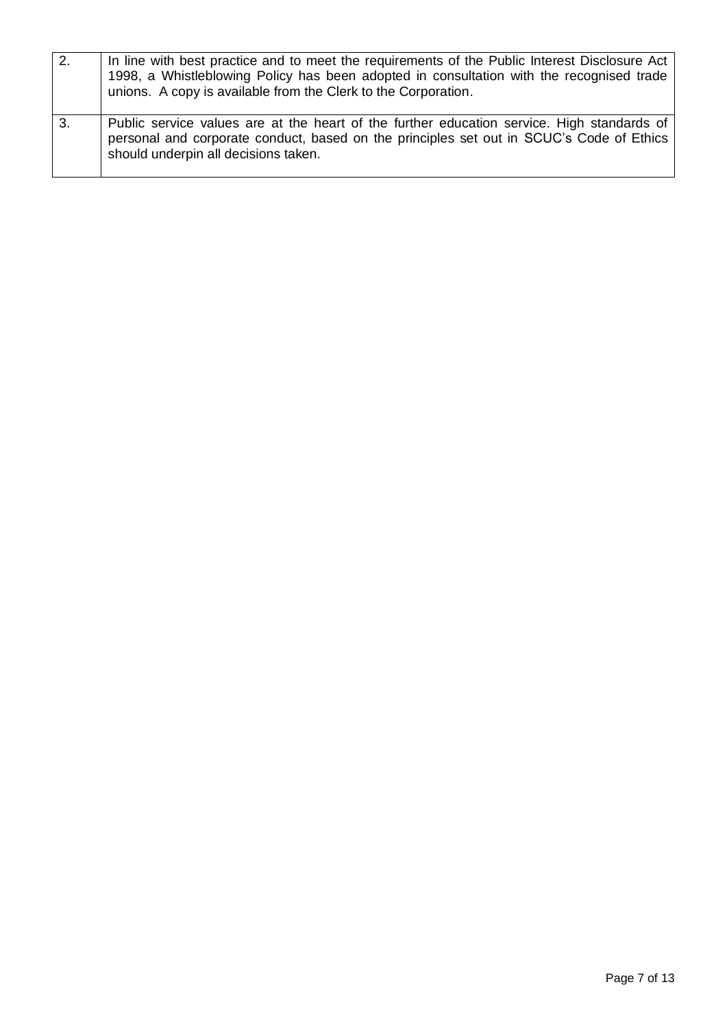| 2. | In line with best practice and to meet the requirements of the Public Interest Disclosure Act<br>1998, a Whistleblowing Policy has been adopted in consultation with the recognised trade<br>unions. A copy is available from the Clerk to the Corporation. |
|----|-------------------------------------------------------------------------------------------------------------------------------------------------------------------------------------------------------------------------------------------------------------|
| 3. | Public service values are at the heart of the further education service. High standards of<br>personal and corporate conduct, based on the principles set out in SCUC's Code of Ethics<br>should underpin all decisions taken.                              |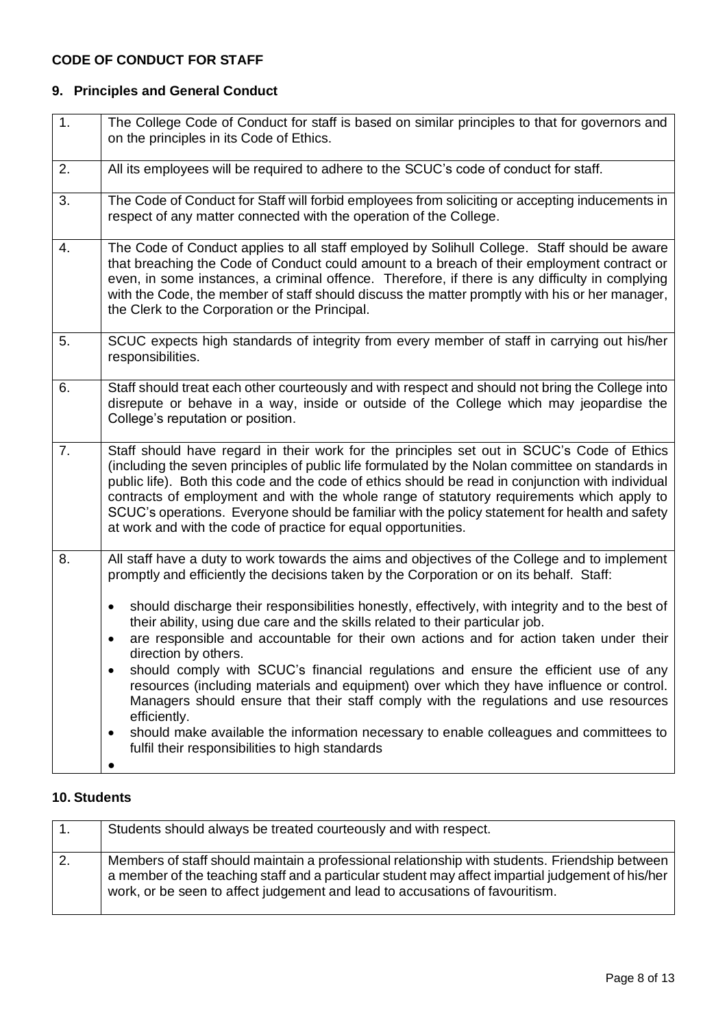## **CODE OF CONDUCT FOR STAFF**

## **9. Principles and General Conduct**

| The College Code of Conduct for staff is based on similar principles to that for governors and<br>on the principles in its Code of Ethics.                                                                                                                                                                                                                                                                                                                                                                                                                                                                                                                                                                                                                                          |
|-------------------------------------------------------------------------------------------------------------------------------------------------------------------------------------------------------------------------------------------------------------------------------------------------------------------------------------------------------------------------------------------------------------------------------------------------------------------------------------------------------------------------------------------------------------------------------------------------------------------------------------------------------------------------------------------------------------------------------------------------------------------------------------|
| All its employees will be required to adhere to the SCUC's code of conduct for staff.                                                                                                                                                                                                                                                                                                                                                                                                                                                                                                                                                                                                                                                                                               |
| The Code of Conduct for Staff will forbid employees from soliciting or accepting inducements in<br>respect of any matter connected with the operation of the College.                                                                                                                                                                                                                                                                                                                                                                                                                                                                                                                                                                                                               |
| The Code of Conduct applies to all staff employed by Solihull College. Staff should be aware<br>that breaching the Code of Conduct could amount to a breach of their employment contract or<br>even, in some instances, a criminal offence. Therefore, if there is any difficulty in complying<br>with the Code, the member of staff should discuss the matter promptly with his or her manager,<br>the Clerk to the Corporation or the Principal.                                                                                                                                                                                                                                                                                                                                  |
| SCUC expects high standards of integrity from every member of staff in carrying out his/her<br>responsibilities.                                                                                                                                                                                                                                                                                                                                                                                                                                                                                                                                                                                                                                                                    |
| Staff should treat each other courteously and with respect and should not bring the College into<br>disrepute or behave in a way, inside or outside of the College which may jeopardise the<br>College's reputation or position.                                                                                                                                                                                                                                                                                                                                                                                                                                                                                                                                                    |
| Staff should have regard in their work for the principles set out in SCUC's Code of Ethics<br>(including the seven principles of public life formulated by the Nolan committee on standards in<br>public life). Both this code and the code of ethics should be read in conjunction with individual<br>contracts of employment and with the whole range of statutory requirements which apply to<br>SCUC's operations. Everyone should be familiar with the policy statement for health and safety<br>at work and with the code of practice for equal opportunities.                                                                                                                                                                                                                |
| All staff have a duty to work towards the aims and objectives of the College and to implement<br>promptly and efficiently the decisions taken by the Corporation or on its behalf. Staff:                                                                                                                                                                                                                                                                                                                                                                                                                                                                                                                                                                                           |
| should discharge their responsibilities honestly, effectively, with integrity and to the best of<br>$\bullet$<br>their ability, using due care and the skills related to their particular job.<br>are responsible and accountable for their own actions and for action taken under their<br>$\bullet$<br>direction by others.<br>should comply with SCUC's financial regulations and ensure the efficient use of any<br>resources (including materials and equipment) over which they have influence or control.<br>Managers should ensure that their staff comply with the regulations and use resources<br>efficiently.<br>should make available the information necessary to enable colleagues and committees to<br>$\bullet$<br>fulfil their responsibilities to high standards |
|                                                                                                                                                                                                                                                                                                                                                                                                                                                                                                                                                                                                                                                                                                                                                                                     |

## **10. Students**

|    | Students should always be treated courteously and with respect.                                                                                                                                                                                                                     |
|----|-------------------------------------------------------------------------------------------------------------------------------------------------------------------------------------------------------------------------------------------------------------------------------------|
| 2. | Members of staff should maintain a professional relationship with students. Friendship between<br>a member of the teaching staff and a particular student may affect impartial judgement of his/her<br>work, or be seen to affect judgement and lead to accusations of favouritism. |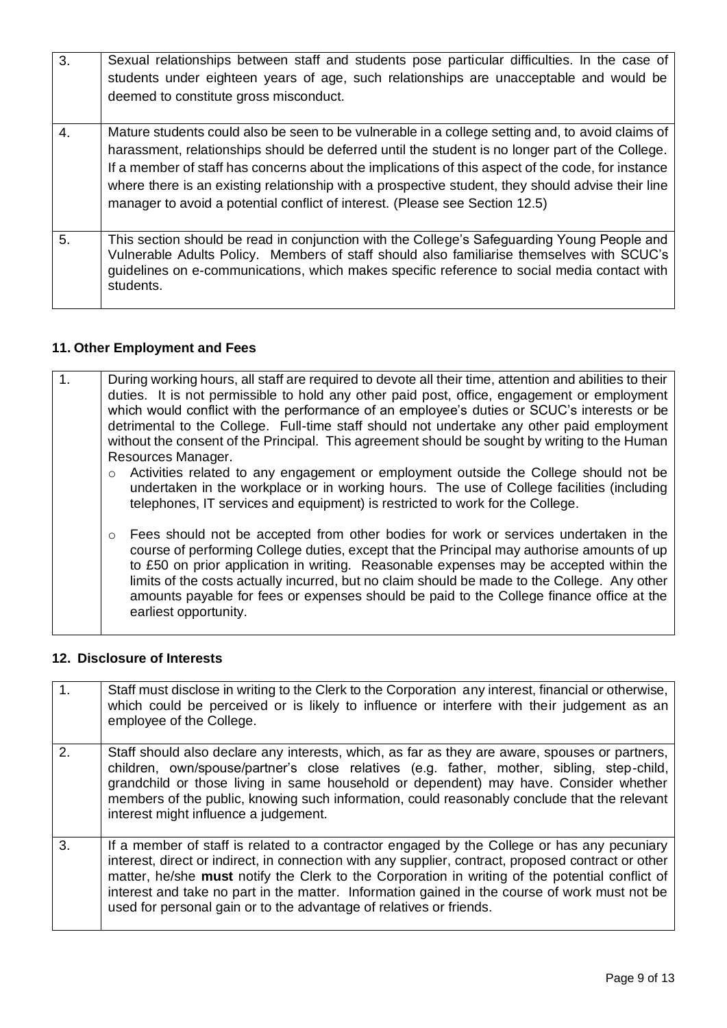| 3. | Sexual relationships between staff and students pose particular difficulties. In the case of<br>students under eighteen years of age, such relationships are unacceptable and would be<br>deemed to constitute gross misconduct.                                                                                                                                                                                                                                                               |
|----|------------------------------------------------------------------------------------------------------------------------------------------------------------------------------------------------------------------------------------------------------------------------------------------------------------------------------------------------------------------------------------------------------------------------------------------------------------------------------------------------|
| 4. | Mature students could also be seen to be vulnerable in a college setting and, to avoid claims of<br>harassment, relationships should be deferred until the student is no longer part of the College.<br>If a member of staff has concerns about the implications of this aspect of the code, for instance<br>where there is an existing relationship with a prospective student, they should advise their line<br>manager to avoid a potential conflict of interest. (Please see Section 12.5) |
| 5. | This section should be read in conjunction with the College's Safeguarding Young People and<br>Vulnerable Adults Policy. Members of staff should also familiarise themselves with SCUC's<br>guidelines on e-communications, which makes specific reference to social media contact with<br>students.                                                                                                                                                                                           |

# **11. Other Employment and Fees**

| During working hours, all staff are required to devote all their time, attention and abilities to their<br>duties. It is not permissible to hold any other paid post, office, engagement or employment<br>which would conflict with the performance of an employee's duties or SCUC's interests or be<br>detrimental to the College. Full-time staff should not undertake any other paid employment<br>without the consent of the Principal. This agreement should be sought by writing to the Human |
|------------------------------------------------------------------------------------------------------------------------------------------------------------------------------------------------------------------------------------------------------------------------------------------------------------------------------------------------------------------------------------------------------------------------------------------------------------------------------------------------------|
| Resources Manager.<br>Activities related to any engagement or employment outside the College should not be<br>undertaken in the workplace or in working hours. The use of College facilities (including<br>telephones, IT services and equipment) is restricted to work for the College.                                                                                                                                                                                                             |
| ○ Fees should not be accepted from other bodies for work or services undertaken in the<br>course of performing College duties, except that the Principal may authorise amounts of up<br>to £50 on prior application in writing. Reasonable expenses may be accepted within the<br>limits of the costs actually incurred, but no claim should be made to the College. Any other<br>amounts payable for fees or expenses should be paid to the College finance office at the<br>earliest opportunity.  |

## **12. Disclosure of Interests**

| $\mathbf{1}$ .   | Staff must disclose in writing to the Clerk to the Corporation any interest, financial or otherwise,<br>which could be perceived or is likely to influence or interfere with their judgement as an<br>employee of the College.                                                                                                                                                                                                                                                |
|------------------|-------------------------------------------------------------------------------------------------------------------------------------------------------------------------------------------------------------------------------------------------------------------------------------------------------------------------------------------------------------------------------------------------------------------------------------------------------------------------------|
| $\overline{2}$ . | Staff should also declare any interests, which, as far as they are aware, spouses or partners,<br>children, own/spouse/partner's close relatives (e.g. father, mother, sibling, step-child,<br>grandchild or those living in same household or dependent) may have. Consider whether<br>members of the public, knowing such information, could reasonably conclude that the relevant<br>interest might influence a judgement.                                                 |
| 3.               | If a member of staff is related to a contractor engaged by the College or has any pecuniary<br>interest, direct or indirect, in connection with any supplier, contract, proposed contract or other<br>matter, he/she must notify the Clerk to the Corporation in writing of the potential conflict of<br>interest and take no part in the matter. Information gained in the course of work must not be<br>used for personal gain or to the advantage of relatives or friends. |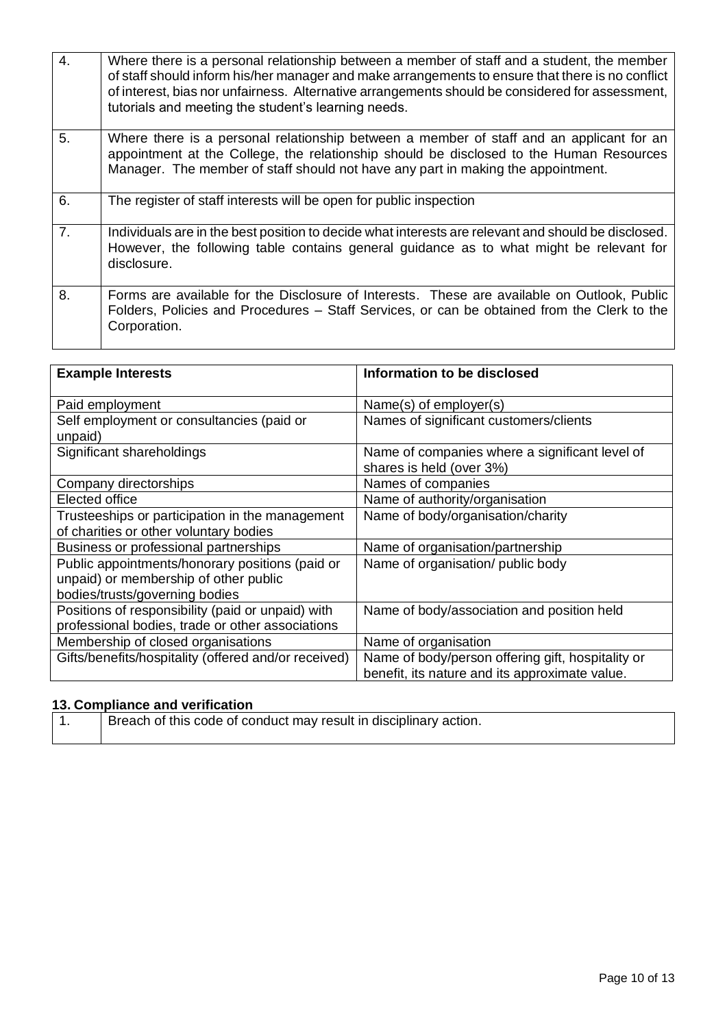| 4.             | Where there is a personal relationship between a member of staff and a student, the member<br>of staff should inform his/her manager and make arrangements to ensure that there is no conflict<br>of interest, bias nor unfairness. Alternative arrangements should be considered for assessment,<br>tutorials and meeting the student's learning needs. |
|----------------|----------------------------------------------------------------------------------------------------------------------------------------------------------------------------------------------------------------------------------------------------------------------------------------------------------------------------------------------------------|
| 5.             | Where there is a personal relationship between a member of staff and an applicant for an<br>appointment at the College, the relationship should be disclosed to the Human Resources<br>Manager. The member of staff should not have any part in making the appointment.                                                                                  |
| 6.             | The register of staff interests will be open for public inspection                                                                                                                                                                                                                                                                                       |
| 7 <sub>1</sub> | Individuals are in the best position to decide what interests are relevant and should be disclosed.<br>However, the following table contains general guidance as to what might be relevant for<br>disclosure.                                                                                                                                            |
| 8.             | Forms are available for the Disclosure of Interests. These are available on Outlook, Public<br>Folders, Policies and Procedures – Staff Services, or can be obtained from the Clerk to the<br>Corporation.                                                                                                                                               |

| <b>Example Interests</b>                             | Information to be disclosed                                                |
|------------------------------------------------------|----------------------------------------------------------------------------|
| Paid employment                                      | Name(s) of employer(s)                                                     |
| Self employment or consultancies (paid or<br>unpaid) | Names of significant customers/clients                                     |
| Significant shareholdings                            | Name of companies where a significant level of<br>shares is held (over 3%) |
| Company directorships                                | Names of companies                                                         |
| Elected office                                       | Name of authority/organisation                                             |
| Trusteeships or participation in the management      | Name of body/organisation/charity                                          |
| of charities or other voluntary bodies               |                                                                            |
| Business or professional partnerships                | Name of organisation/partnership                                           |
| Public appointments/honorary positions (paid or      | Name of organisation/ public body                                          |
| unpaid) or membership of other public                |                                                                            |
| bodies/trusts/governing bodies                       |                                                                            |
| Positions of responsibility (paid or unpaid) with    | Name of body/association and position held                                 |
| professional bodies, trade or other associations     |                                                                            |
| Membership of closed organisations                   | Name of organisation                                                       |
| Gifts/benefits/hospitality (offered and/or received) | Name of body/person offering gift, hospitality or                          |
|                                                      | benefit, its nature and its approximate value.                             |

## **13. Compliance and verification**

| <sup>1</sup> Breach of this code of conduct may result in disciplinary action. |
|--------------------------------------------------------------------------------|
|                                                                                |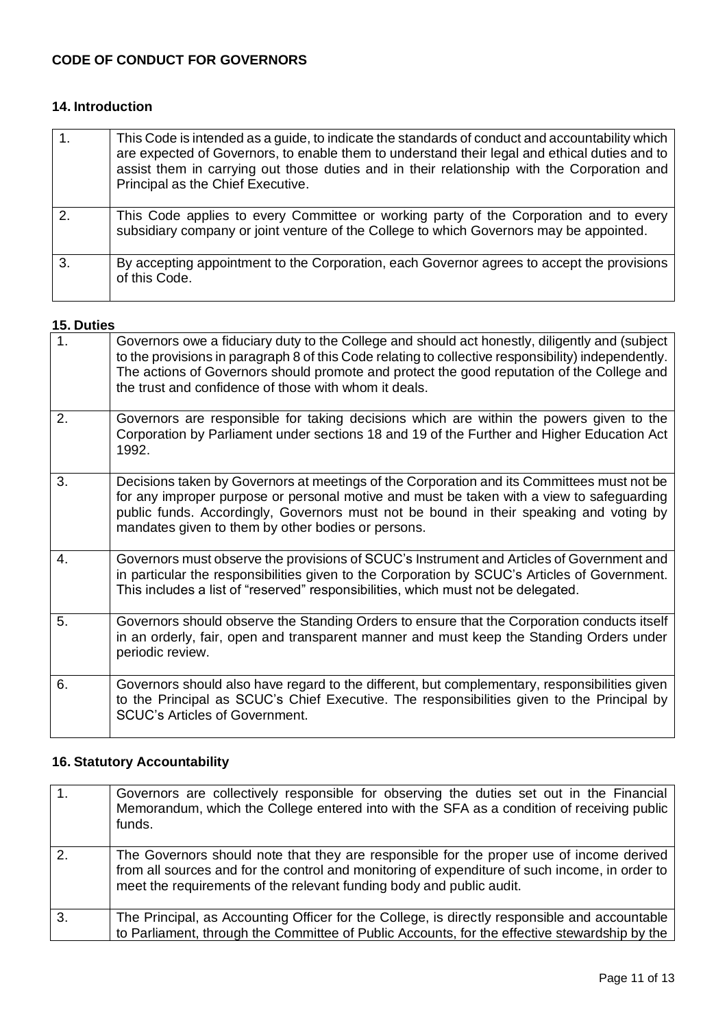## **CODE OF CONDUCT FOR GOVERNORS**

## **14. Introduction**

| 1 <sub>1</sub> | This Code is intended as a guide, to indicate the standards of conduct and accountability which<br>are expected of Governors, to enable them to understand their legal and ethical duties and to<br>assist them in carrying out those duties and in their relationship with the Corporation and<br>Principal as the Chief Executive. |
|----------------|--------------------------------------------------------------------------------------------------------------------------------------------------------------------------------------------------------------------------------------------------------------------------------------------------------------------------------------|
| 2.             | This Code applies to every Committee or working party of the Corporation and to every<br>subsidiary company or joint venture of the College to which Governors may be appointed.                                                                                                                                                     |
| 3.             | By accepting appointment to the Corporation, each Governor agrees to accept the provisions<br>of this Code.                                                                                                                                                                                                                          |

#### **15. Duties**

| 1. | Governors owe a fiduciary duty to the College and should act honestly, diligently and (subject<br>to the provisions in paragraph 8 of this Code relating to collective responsibility) independently.<br>The actions of Governors should promote and protect the good reputation of the College and<br>the trust and confidence of those with whom it deals. |
|----|--------------------------------------------------------------------------------------------------------------------------------------------------------------------------------------------------------------------------------------------------------------------------------------------------------------------------------------------------------------|
| 2. | Governors are responsible for taking decisions which are within the powers given to the<br>Corporation by Parliament under sections 18 and 19 of the Further and Higher Education Act<br>1992.                                                                                                                                                               |
| 3. | Decisions taken by Governors at meetings of the Corporation and its Committees must not be<br>for any improper purpose or personal motive and must be taken with a view to safeguarding<br>public funds. Accordingly, Governors must not be bound in their speaking and voting by<br>mandates given to them by other bodies or persons.                      |
| 4. | Governors must observe the provisions of SCUC's Instrument and Articles of Government and<br>in particular the responsibilities given to the Corporation by SCUC's Articles of Government.<br>This includes a list of "reserved" responsibilities, which must not be delegated.                                                                              |
| 5. | Governors should observe the Standing Orders to ensure that the Corporation conducts itself<br>in an orderly, fair, open and transparent manner and must keep the Standing Orders under<br>periodic review.                                                                                                                                                  |
| 6. | Governors should also have regard to the different, but complementary, responsibilities given<br>to the Principal as SCUC's Chief Executive. The responsibilities given to the Principal by<br><b>SCUC's Articles of Government.</b>                                                                                                                         |

## **16. Statutory Accountability**

| $\mathbf{1}$ . | Governors are collectively responsible for observing the duties set out in the Financial<br>Memorandum, which the College entered into with the SFA as a condition of receiving public<br>funds.                                                                   |
|----------------|--------------------------------------------------------------------------------------------------------------------------------------------------------------------------------------------------------------------------------------------------------------------|
| 2.             | The Governors should note that they are responsible for the proper use of income derived<br>from all sources and for the control and monitoring of expenditure of such income, in order to<br>meet the requirements of the relevant funding body and public audit. |
| $\mathbf{3}$   | The Principal, as Accounting Officer for the College, is directly responsible and accountable<br>to Parliament, through the Committee of Public Accounts, for the effective stewardship by the                                                                     |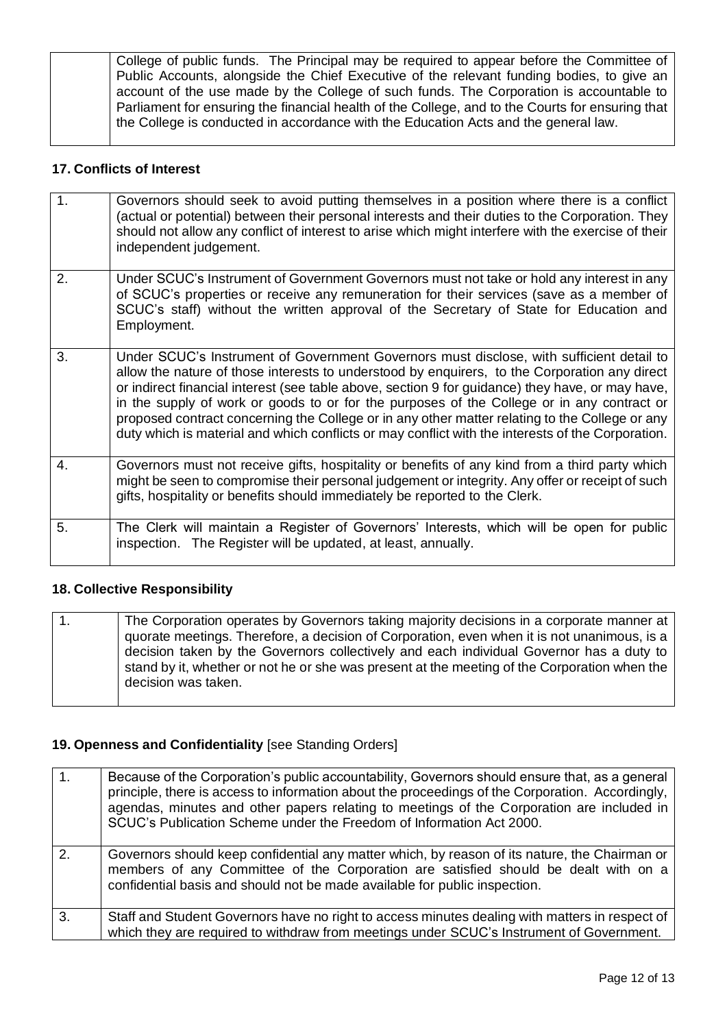College of public funds. The Principal may be required to appear before the Committee of Public Accounts, alongside the Chief Executive of the relevant funding bodies, to give an account of the use made by the College of such funds. The Corporation is accountable to Parliament for ensuring the financial health of the College, and to the Courts for ensuring that the College is conducted in accordance with the Education Acts and the general law.

#### **17. Conflicts of Interest**

| 1. | Governors should seek to avoid putting themselves in a position where there is a conflict<br>(actual or potential) between their personal interests and their duties to the Corporation. They<br>should not allow any conflict of interest to arise which might interfere with the exercise of their<br>independent judgement.                                                                                                                                                                                                                                                                     |
|----|----------------------------------------------------------------------------------------------------------------------------------------------------------------------------------------------------------------------------------------------------------------------------------------------------------------------------------------------------------------------------------------------------------------------------------------------------------------------------------------------------------------------------------------------------------------------------------------------------|
| 2. | Under SCUC's Instrument of Government Governors must not take or hold any interest in any<br>of SCUC's properties or receive any remuneration for their services (save as a member of<br>SCUC's staff) without the written approval of the Secretary of State for Education and<br>Employment.                                                                                                                                                                                                                                                                                                     |
| 3. | Under SCUC's Instrument of Government Governors must disclose, with sufficient detail to<br>allow the nature of those interests to understood by enquirers, to the Corporation any direct<br>or indirect financial interest (see table above, section 9 for guidance) they have, or may have,<br>in the supply of work or goods to or for the purposes of the College or in any contract or<br>proposed contract concerning the College or in any other matter relating to the College or any<br>duty which is material and which conflicts or may conflict with the interests of the Corporation. |
| 4. | Governors must not receive gifts, hospitality or benefits of any kind from a third party which<br>might be seen to compromise their personal judgement or integrity. Any offer or receipt of such<br>gifts, hospitality or benefits should immediately be reported to the Clerk.                                                                                                                                                                                                                                                                                                                   |
| 5. | The Clerk will maintain a Register of Governors' Interests, which will be open for public<br>inspection. The Register will be updated, at least, annually.                                                                                                                                                                                                                                                                                                                                                                                                                                         |

#### **18. Collective Responsibility**

|  | The Corporation operates by Governors taking majority decisions in a corporate manner at<br>quorate meetings. Therefore, a decision of Corporation, even when it is not unanimous, is a<br>decision taken by the Governors collectively and each individual Governor has a duty to<br>stand by it, whether or not he or she was present at the meeting of the Corporation when the<br>decision was taken. |
|--|-----------------------------------------------------------------------------------------------------------------------------------------------------------------------------------------------------------------------------------------------------------------------------------------------------------------------------------------------------------------------------------------------------------|
|--|-----------------------------------------------------------------------------------------------------------------------------------------------------------------------------------------------------------------------------------------------------------------------------------------------------------------------------------------------------------------------------------------------------------|

## **19. Openness and Confidentiality** [see Standing Orders]

| 1.           | Because of the Corporation's public accountability, Governors should ensure that, as a general<br>principle, there is access to information about the proceedings of the Corporation. Accordingly,<br>agendas, minutes and other papers relating to meetings of the Corporation are included in<br>SCUC's Publication Scheme under the Freedom of Information Act 2000. |
|--------------|-------------------------------------------------------------------------------------------------------------------------------------------------------------------------------------------------------------------------------------------------------------------------------------------------------------------------------------------------------------------------|
| 2.           | Governors should keep confidential any matter which, by reason of its nature, the Chairman or<br>members of any Committee of the Corporation are satisfied should be dealt with on a<br>confidential basis and should not be made available for public inspection.                                                                                                      |
| $\mathbf{3}$ | Staff and Student Governors have no right to access minutes dealing with matters in respect of<br>which they are required to withdraw from meetings under SCUC's Instrument of Government.                                                                                                                                                                              |